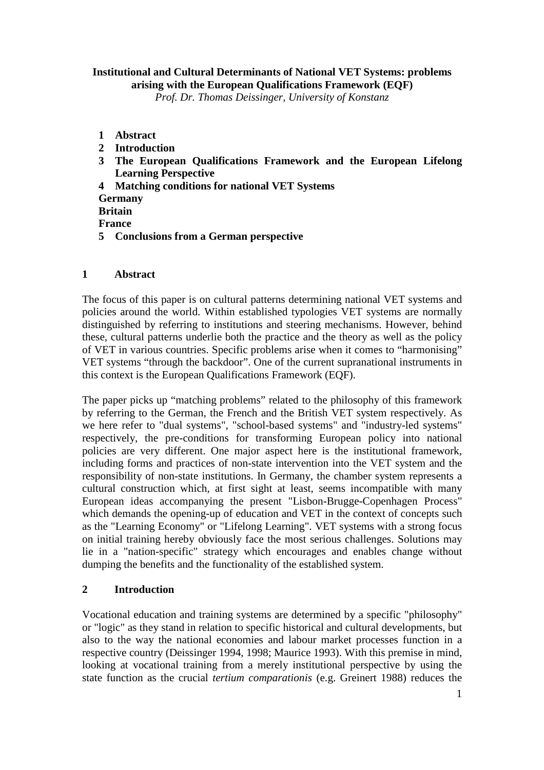# **Institutional and Cultural Determinants of National VET Systems: problems arising with the European Qualifications Framework (EQF)**

*Prof. Dr. Thomas Deissinger, University of Konstanz*

- **1 Abstract**
- **2 Introduction**
- **3 The European Qualifications Framework and the European Lifelong Learning Perspective**
- **4 Matching conditions for national VET Systems**
- **Germany**

**Britain** 

**France** 

**5 Conclusions from a German perspective** 

### **1 Abstract**

The focus of this paper is on cultural patterns determining national VET systems and policies around the world. Within established typologies VET systems are normally distinguished by referring to institutions and steering mechanisms. However, behind these, cultural patterns underlie both the practice and the theory as well as the policy of VET in various countries. Specific problems arise when it comes to "harmonising" VET systems "through the backdoor". One of the current supranational instruments in this context is the European Qualifications Framework (EQF).

The paper picks up "matching problems" related to the philosophy of this framework by referring to the German, the French and the British VET system respectively. As we here refer to "dual systems", "school-based systems" and "industry-led systems" respectively, the pre-conditions for transforming European policy into national policies are very different. One major aspect here is the institutional framework, including forms and practices of non-state intervention into the VET system and the responsibility of non-state institutions. In Germany, the chamber system represents a cultural construction which, at first sight at least, seems incompatible with many European ideas accompanying the present "Lisbon-Brugge-Copenhagen Process" which demands the opening-up of education and VET in the context of concepts such as the "Learning Economy" or "Lifelong Learning". VET systems with a strong focus on initial training hereby obviously face the most serious challenges. Solutions may lie in a "nation-specific" strategy which encourages and enables change without dumping the benefits and the functionality of the established system.

# **2 Introduction**

Vocational education and training systems are determined by a specific "philosophy" or "logic" as they stand in relation to specific historical and cultural developments, but also to the way the national economies and labour market processes function in a respective country (Deissinger 1994, 1998; Maurice 1993). With this premise in mind, looking at vocational training from a merely institutional perspective by using the state function as the crucial *tertium comparationis* (e.g. Greinert 1988) reduces the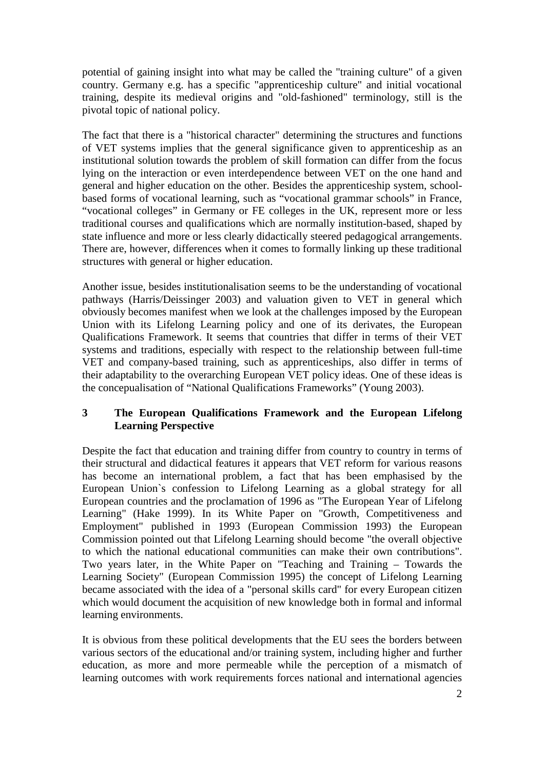potential of gaining insight into what may be called the "training culture" of a given country. Germany e.g. has a specific "apprenticeship culture" and initial vocational training, despite its medieval origins and "old-fashioned" terminology, still is the pivotal topic of national policy.

The fact that there is a "historical character" determining the structures and functions of VET systems implies that the general significance given to apprenticeship as an institutional solution towards the problem of skill formation can differ from the focus lying on the interaction or even interdependence between VET on the one hand and general and higher education on the other. Besides the apprenticeship system, schoolbased forms of vocational learning, such as "vocational grammar schools" in France, "vocational colleges" in Germany or FE colleges in the UK, represent more or less traditional courses and qualifications which are normally institution-based, shaped by state influence and more or less clearly didactically steered pedagogical arrangements. There are, however, differences when it comes to formally linking up these traditional structures with general or higher education.

Another issue, besides institutionalisation seems to be the understanding of vocational pathways (Harris/Deissinger 2003) and valuation given to VET in general which obviously becomes manifest when we look at the challenges imposed by the European Union with its Lifelong Learning policy and one of its derivates, the European Qualifications Framework. It seems that countries that differ in terms of their VET systems and traditions, especially with respect to the relationship between full-time VET and company-based training, such as apprenticeships, also differ in terms of their adaptability to the overarching European VET policy ideas. One of these ideas is the concepualisation of "National Qualifications Frameworks" (Young 2003).

# **3 The European Qualifications Framework and the European Lifelong Learning Perspective**

Despite the fact that education and training differ from country to country in terms of their structural and didactical features it appears that VET reform for various reasons has become an international problem, a fact that has been emphasised by the European Union`s confession to Lifelong Learning as a global strategy for all European countries and the proclamation of 1996 as "The European Year of Lifelong Learning" (Hake 1999). In its White Paper on "Growth, Competitiveness and Employment" published in 1993 (European Commission 1993) the European Commission pointed out that Lifelong Learning should become "the overall objective to which the national educational communities can make their own contributions". Two years later, in the White Paper on "Teaching and Training – Towards the Learning Society" (European Commission 1995) the concept of Lifelong Learning became associated with the idea of a "personal skills card" for every European citizen which would document the acquisition of new knowledge both in formal and informal learning environments.

It is obvious from these political developments that the EU sees the borders between various sectors of the educational and/or training system, including higher and further education, as more and more permeable while the perception of a mismatch of learning outcomes with work requirements forces national and international agencies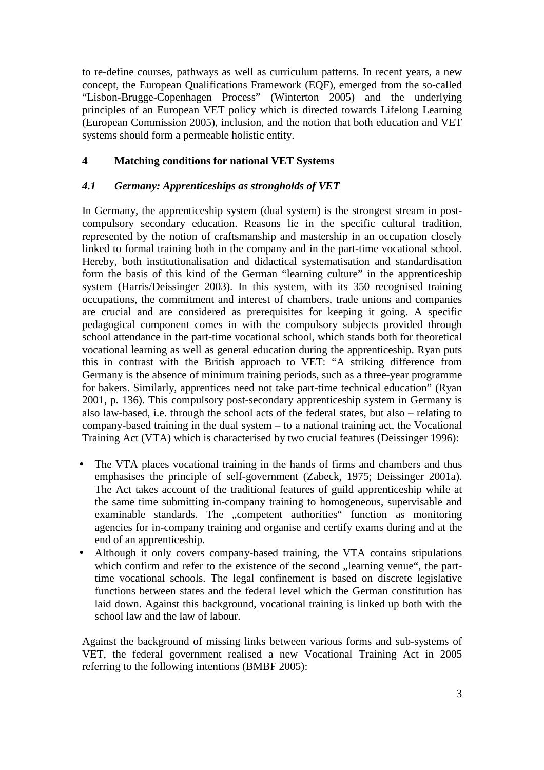to re-define courses, pathways as well as curriculum patterns. In recent years, a new concept, the European Qualifications Framework (EQF), emerged from the so-called "Lisbon-Brugge-Copenhagen Process" (Winterton 2005) and the underlying principles of an European VET policy which is directed towards Lifelong Learning (European Commission 2005), inclusion, and the notion that both education and VET systems should form a permeable holistic entity.

### **4 Matching conditions for national VET Systems**

### *4.1 Germany: Apprenticeships as strongholds of VET*

In Germany, the apprenticeship system (dual system) is the strongest stream in postcompulsory secondary education. Reasons lie in the specific cultural tradition, represented by the notion of craftsmanship and mastership in an occupation closely linked to formal training both in the company and in the part-time vocational school. Hereby, both institutionalisation and didactical systematisation and standardisation form the basis of this kind of the German "learning culture" in the apprenticeship system (Harris/Deissinger 2003). In this system, with its 350 recognised training occupations, the commitment and interest of chambers, trade unions and companies are crucial and are considered as prerequisites for keeping it going. A specific pedagogical component comes in with the compulsory subjects provided through school attendance in the part-time vocational school, which stands both for theoretical vocational learning as well as general education during the apprenticeship. Ryan puts this in contrast with the British approach to VET: "A striking difference from Germany is the absence of minimum training periods, such as a three-year programme for bakers. Similarly, apprentices need not take part-time technical education" (Ryan 2001, p. 136). This compulsory post-secondary apprenticeship system in Germany is also law-based, i.e. through the school acts of the federal states, but also – relating to company-based training in the dual system – to a national training act, the Vocational Training Act (VTA) which is characterised by two crucial features (Deissinger 1996):

- The VTA places vocational training in the hands of firms and chambers and thus emphasises the principle of self-government (Zabeck, 1975; Deissinger 2001a). The Act takes account of the traditional features of guild apprenticeship while at the same time submitting in-company training to homogeneous, supervisable and examinable standards. The "competent authorities" function as monitoring agencies for in-company training and organise and certify exams during and at the end of an apprenticeship.
- Although it only covers company-based training, the VTA contains stipulations which confirm and refer to the existence of the second ... learning venue", the parttime vocational schools. The legal confinement is based on discrete legislative functions between states and the federal level which the German constitution has laid down. Against this background, vocational training is linked up both with the school law and the law of labour.

Against the background of missing links between various forms and sub-systems of VET, the federal government realised a new Vocational Training Act in 2005 referring to the following intentions (BMBF 2005):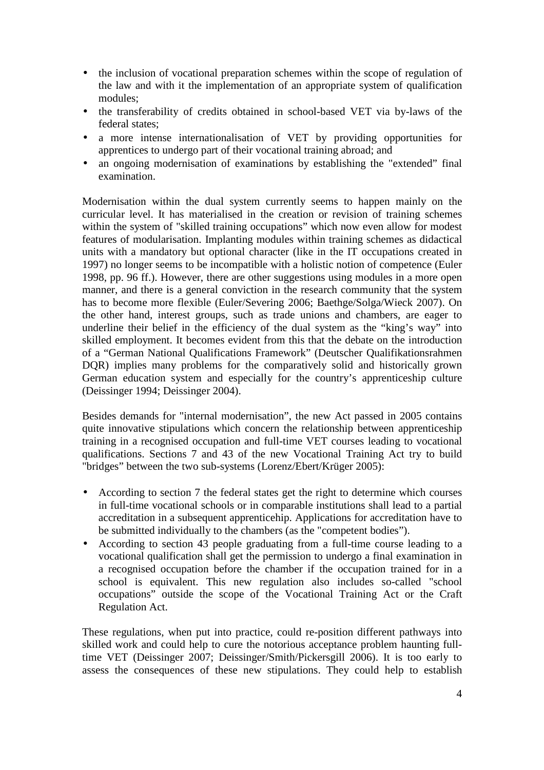- the inclusion of vocational preparation schemes within the scope of regulation of the law and with it the implementation of an appropriate system of qualification modules;
- the transferability of credits obtained in school-based VET via by-laws of the federal states;
- a more intense internationalisation of VET by providing opportunities for apprentices to undergo part of their vocational training abroad; and
- an ongoing modernisation of examinations by establishing the "extended" final examination.

Modernisation within the dual system currently seems to happen mainly on the curricular level. It has materialised in the creation or revision of training schemes within the system of "skilled training occupations" which now even allow for modest features of modularisation. Implanting modules within training schemes as didactical units with a mandatory but optional character (like in the IT occupations created in 1997) no longer seems to be incompatible with a holistic notion of competence (Euler 1998, pp. 96 ff.). However, there are other suggestions using modules in a more open manner, and there is a general conviction in the research community that the system has to become more flexible (Euler/Severing 2006; Baethge/Solga/Wieck 2007). On the other hand, interest groups, such as trade unions and chambers, are eager to underline their belief in the efficiency of the dual system as the "king's way" into skilled employment. It becomes evident from this that the debate on the introduction of a "German National Qualifications Framework" (Deutscher Qualifikationsrahmen DQR) implies many problems for the comparatively solid and historically grown German education system and especially for the country's apprenticeship culture (Deissinger 1994; Deissinger 2004).

Besides demands for "internal modernisation", the new Act passed in 2005 contains quite innovative stipulations which concern the relationship between apprenticeship training in a recognised occupation and full-time VET courses leading to vocational qualifications. Sections 7 and 43 of the new Vocational Training Act try to build "bridges" between the two sub-systems (Lorenz/Ebert/Krüger 2005):

- According to section 7 the federal states get the right to determine which courses in full-time vocational schools or in comparable institutions shall lead to a partial accreditation in a subsequent apprenticehip. Applications for accreditation have to be submitted individually to the chambers (as the "competent bodies").
- According to section 43 people graduating from a full-time course leading to a vocational qualification shall get the permission to undergo a final examination in a recognised occupation before the chamber if the occupation trained for in a school is equivalent. This new regulation also includes so-called "school occupations" outside the scope of the Vocational Training Act or the Craft Regulation Act.

These regulations, when put into practice, could re-position different pathways into skilled work and could help to cure the notorious acceptance problem haunting fulltime VET (Deissinger 2007; Deissinger/Smith/Pickersgill 2006). It is too early to assess the consequences of these new stipulations. They could help to establish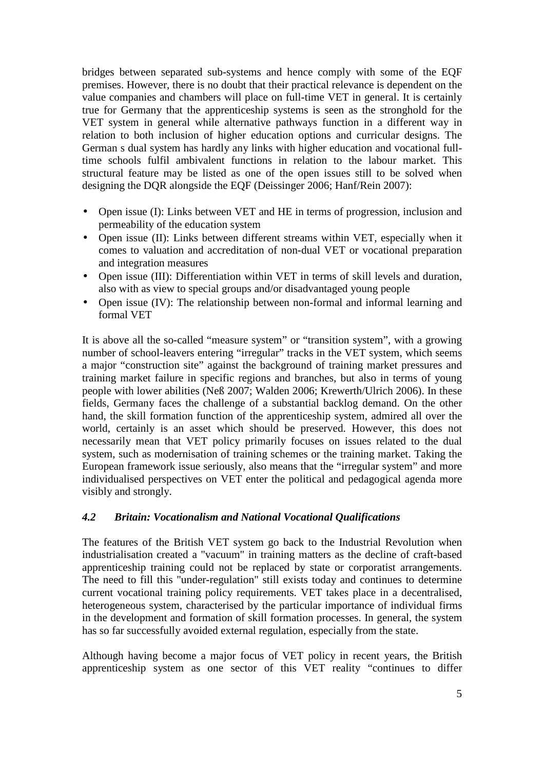bridges between separated sub-systems and hence comply with some of the EQF premises. However, there is no doubt that their practical relevance is dependent on the value companies and chambers will place on full-time VET in general. It is certainly true for Germany that the apprenticeship systems is seen as the stronghold for the VET system in general while alternative pathways function in a different way in relation to both inclusion of higher education options and curricular designs. The German s dual system has hardly any links with higher education and vocational fulltime schools fulfil ambivalent functions in relation to the labour market. This structural feature may be listed as one of the open issues still to be solved when designing the DQR alongside the EQF (Deissinger 2006; Hanf/Rein 2007):

- Open issue (I): Links between VET and HE in terms of progression, inclusion and permeability of the education system
- Open issue (II): Links between different streams within VET, especially when it comes to valuation and accreditation of non-dual VET or vocational preparation and integration measures
- Open issue (III): Differentiation within VET in terms of skill levels and duration, also with as view to special groups and/or disadvantaged young people
- Open issue (IV): The relationship between non-formal and informal learning and formal VET

It is above all the so-called "measure system" or "transition system", with a growing number of school-leavers entering "irregular" tracks in the VET system, which seems a major "construction site" against the background of training market pressures and training market failure in specific regions and branches, but also in terms of young people with lower abilities (Neß 2007; Walden 2006; Krewerth/Ulrich 2006). In these fields, Germany faces the challenge of a substantial backlog demand. On the other hand, the skill formation function of the apprenticeship system, admired all over the world, certainly is an asset which should be preserved. However, this does not necessarily mean that VET policy primarily focuses on issues related to the dual system, such as modernisation of training schemes or the training market. Taking the European framework issue seriously, also means that the "irregular system" and more individualised perspectives on VET enter the political and pedagogical agenda more visibly and strongly.

### *4.2 Britain: Vocationalism and National Vocational Qualifications*

The features of the British VET system go back to the Industrial Revolution when industrialisation created a "vacuum" in training matters as the decline of craft-based apprenticeship training could not be replaced by state or corporatist arrangements. The need to fill this "under-regulation" still exists today and continues to determine current vocational training policy requirements. VET takes place in a decentralised, heterogeneous system, characterised by the particular importance of individual firms in the development and formation of skill formation processes. In general, the system has so far successfully avoided external regulation, especially from the state.

Although having become a major focus of VET policy in recent years, the British apprenticeship system as one sector of this VET reality "continues to differ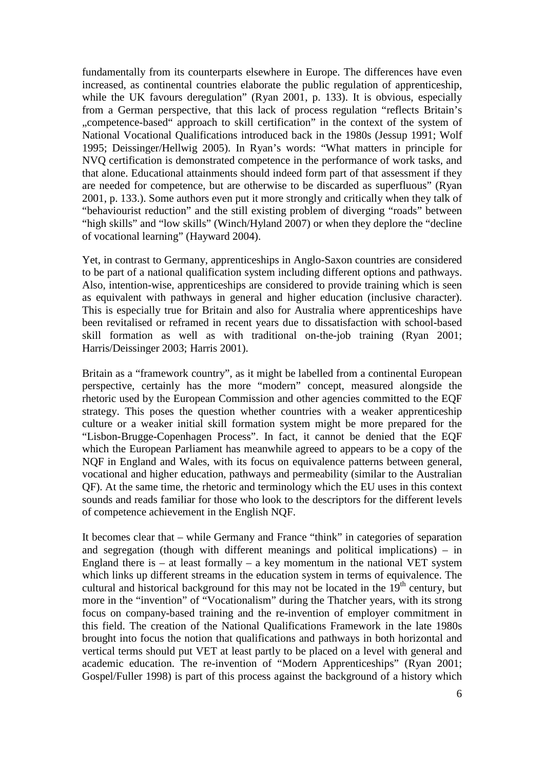fundamentally from its counterparts elsewhere in Europe. The differences have even increased, as continental countries elaborate the public regulation of apprenticeship, while the UK favours deregulation" (Ryan 2001, p. 133). It is obvious, especially from a German perspective, that this lack of process regulation "reflects Britain's "competence-based" approach to skill certification" in the context of the system of National Vocational Qualifications introduced back in the 1980s (Jessup 1991; Wolf 1995; Deissinger/Hellwig 2005). In Ryan's words: "What matters in principle for NVQ certification is demonstrated competence in the performance of work tasks, and that alone. Educational attainments should indeed form part of that assessment if they are needed for competence, but are otherwise to be discarded as superfluous" (Ryan 2001, p. 133.). Some authors even put it more strongly and critically when they talk of "behaviourist reduction" and the still existing problem of diverging "roads" between "high skills" and "low skills" (Winch/Hyland 2007) or when they deplore the "decline of vocational learning" (Hayward 2004).

Yet, in contrast to Germany, apprenticeships in Anglo-Saxon countries are considered to be part of a national qualification system including different options and pathways. Also, intention-wise, apprenticeships are considered to provide training which is seen as equivalent with pathways in general and higher education (inclusive character). This is especially true for Britain and also for Australia where apprenticeships have been revitalised or reframed in recent years due to dissatisfaction with school-based skill formation as well as with traditional on-the-job training (Ryan 2001; Harris/Deissinger 2003; Harris 2001).

Britain as a "framework country", as it might be labelled from a continental European perspective, certainly has the more "modern" concept, measured alongside the rhetoric used by the European Commission and other agencies committed to the EQF strategy. This poses the question whether countries with a weaker apprenticeship culture or a weaker initial skill formation system might be more prepared for the "Lisbon-Brugge-Copenhagen Process". In fact, it cannot be denied that the EQF which the European Parliament has meanwhile agreed to appears to be a copy of the NQF in England and Wales, with its focus on equivalence patterns between general, vocational and higher education, pathways and permeability (similar to the Australian QF). At the same time, the rhetoric and terminology which the EU uses in this context sounds and reads familiar for those who look to the descriptors for the different levels of competence achievement in the English NQF.

It becomes clear that – while Germany and France "think" in categories of separation and segregation (though with different meanings and political implications) – in England there is  $-$  at least formally  $-$  a key momentum in the national VET system which links up different streams in the education system in terms of equivalence. The cultural and historical background for this may not be located in the  $19<sup>th</sup>$  century, but more in the "invention" of "Vocationalism" during the Thatcher years, with its strong focus on company-based training and the re-invention of employer commitment in this field. The creation of the National Qualifications Framework in the late 1980s brought into focus the notion that qualifications and pathways in both horizontal and vertical terms should put VET at least partly to be placed on a level with general and academic education. The re-invention of "Modern Apprenticeships" (Ryan 2001; Gospel/Fuller 1998) is part of this process against the background of a history which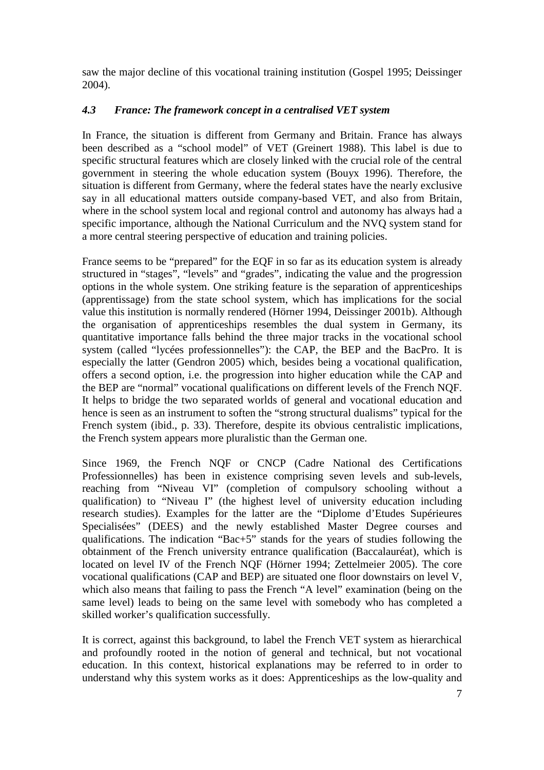saw the major decline of this vocational training institution (Gospel 1995; Deissinger 2004).

# *4.3 France: The framework concept in a centralised VET system*

In France, the situation is different from Germany and Britain. France has always been described as a "school model" of VET (Greinert 1988). This label is due to specific structural features which are closely linked with the crucial role of the central government in steering the whole education system (Bouyx 1996). Therefore, the situation is different from Germany, where the federal states have the nearly exclusive say in all educational matters outside company-based VET, and also from Britain, where in the school system local and regional control and autonomy has always had a specific importance, although the National Curriculum and the NVQ system stand for a more central steering perspective of education and training policies.

France seems to be "prepared" for the EQF in so far as its education system is already structured in "stages", "levels" and "grades", indicating the value and the progression options in the whole system. One striking feature is the separation of apprenticeships (apprentissage) from the state school system, which has implications for the social value this institution is normally rendered (Hörner 1994, Deissinger 2001b). Although the organisation of apprenticeships resembles the dual system in Germany, its quantitative importance falls behind the three major tracks in the vocational school system (called "lycées professionnelles"): the CAP, the BEP and the BacPro. It is especially the latter (Gendron 2005) which, besides being a vocational qualification, offers a second option, i.e. the progression into higher education while the CAP and the BEP are "normal" vocational qualifications on different levels of the French NQF. It helps to bridge the two separated worlds of general and vocational education and hence is seen as an instrument to soften the "strong structural dualisms" typical for the French system (ibid., p. 33). Therefore, despite its obvious centralistic implications, the French system appears more pluralistic than the German one.

Since 1969, the French NQF or CNCP (Cadre National des Certifications Professionnelles) has been in existence comprising seven levels and sub-levels, reaching from "Niveau VI" (completion of compulsory schooling without a qualification) to "Niveau I" (the highest level of university education including research studies). Examples for the latter are the "Diplome d'Etudes Supérieures Specialisées" (DEES) and the newly established Master Degree courses and qualifications. The indication "Bac+5" stands for the years of studies following the obtainment of the French university entrance qualification (Baccalauréat), which is located on level IV of the French NQF (Hörner 1994; Zettelmeier 2005). The core vocational qualifications (CAP and BEP) are situated one floor downstairs on level V, which also means that failing to pass the French "A level" examination (being on the same level) leads to being on the same level with somebody who has completed a skilled worker's qualification successfully.

It is correct, against this background, to label the French VET system as hierarchical and profoundly rooted in the notion of general and technical, but not vocational education. In this context, historical explanations may be referred to in order to understand why this system works as it does: Apprenticeships as the low-quality and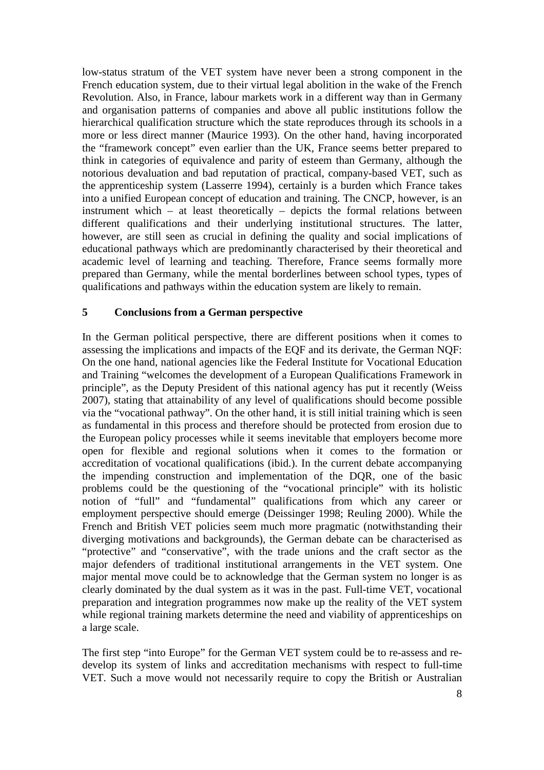low-status stratum of the VET system have never been a strong component in the French education system, due to their virtual legal abolition in the wake of the French Revolution. Also, in France, labour markets work in a different way than in Germany and organisation patterns of companies and above all public institutions follow the hierarchical qualification structure which the state reproduces through its schools in a more or less direct manner (Maurice 1993). On the other hand, having incorporated the "framework concept" even earlier than the UK, France seems better prepared to think in categories of equivalence and parity of esteem than Germany, although the notorious devaluation and bad reputation of practical, company-based VET, such as the apprenticeship system (Lasserre 1994), certainly is a burden which France takes into a unified European concept of education and training. The CNCP, however, is an instrument which – at least theoretically – depicts the formal relations between different qualifications and their underlying institutional structures. The latter, however, are still seen as crucial in defining the quality and social implications of educational pathways which are predominantly characterised by their theoretical and academic level of learning and teaching. Therefore, France seems formally more prepared than Germany, while the mental borderlines between school types, types of qualifications and pathways within the education system are likely to remain.

### **5 Conclusions from a German perspective**

In the German political perspective, there are different positions when it comes to assessing the implications and impacts of the EQF and its derivate, the German NQF: On the one hand, national agencies like the Federal Institute for Vocational Education and Training "welcomes the development of a European Qualifications Framework in principle", as the Deputy President of this national agency has put it recently (Weiss 2007), stating that attainability of any level of qualifications should become possible via the "vocational pathway". On the other hand, it is still initial training which is seen as fundamental in this process and therefore should be protected from erosion due to the European policy processes while it seems inevitable that employers become more open for flexible and regional solutions when it comes to the formation or accreditation of vocational qualifications (ibid.). In the current debate accompanying the impending construction and implementation of the DQR, one of the basic problems could be the questioning of the "vocational principle" with its holistic notion of "full" and "fundamental" qualifications from which any career or employment perspective should emerge (Deissinger 1998; Reuling 2000). While the French and British VET policies seem much more pragmatic (notwithstanding their diverging motivations and backgrounds), the German debate can be characterised as "protective" and "conservative", with the trade unions and the craft sector as the major defenders of traditional institutional arrangements in the VET system. One major mental move could be to acknowledge that the German system no longer is as clearly dominated by the dual system as it was in the past. Full-time VET, vocational preparation and integration programmes now make up the reality of the VET system while regional training markets determine the need and viability of apprenticeships on a large scale.

The first step "into Europe" for the German VET system could be to re-assess and redevelop its system of links and accreditation mechanisms with respect to full-time VET. Such a move would not necessarily require to copy the British or Australian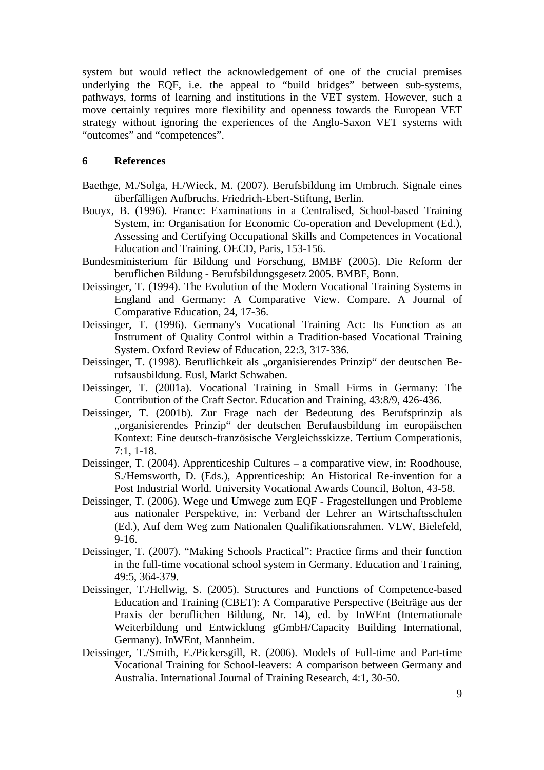system but would reflect the acknowledgement of one of the crucial premises underlying the EQF, i.e. the appeal to "build bridges" between sub-systems, pathways, forms of learning and institutions in the VET system. However, such a move certainly requires more flexibility and openness towards the European VET strategy without ignoring the experiences of the Anglo-Saxon VET systems with "outcomes" and "competences".

### **6 References**

- Baethge, M./Solga, H./Wieck, M. (2007). Berufsbildung im Umbruch. Signale eines überfälligen Aufbruchs. Friedrich-Ebert-Stiftung, Berlin.
- Bouyx, B. (1996). France: Examinations in a Centralised, School-based Training System, in: Organisation for Economic Co-operation and Development (Ed.), Assessing and Certifying Occupational Skills and Competences in Vocational Education and Training. OECD, Paris, 153-156.
- Bundesministerium für Bildung und Forschung, BMBF (2005). Die Reform der beruflichen Bildung - Berufsbildungsgesetz 2005. BMBF, Bonn.
- Deissinger, T. (1994). The Evolution of the Modern Vocational Training Systems in England and Germany: A Comparative View. Compare. A Journal of Comparative Education, 24, 17-36.
- Deissinger, T. (1996). Germany's Vocational Training Act: Its Function as an Instrument of Quality Control within a Tradition-based Vocational Training System. Oxford Review of Education, 22:3, 317-336.
- Deissinger, T. (1998). Beruflichkeit als "organisierendes Prinzip" der deutschen Berufsausbildung. Eusl, Markt Schwaben.
- Deissinger, T. (2001a). Vocational Training in Small Firms in Germany: The Contribution of the Craft Sector. Education and Training, 43:8/9, 426-436.
- Deissinger, T. (2001b). Zur Frage nach der Bedeutung des Berufsprinzip als "organisierendes Prinzip" der deutschen Berufausbildung im europäischen Kontext: Eine deutsch-französische Vergleichsskizze. Tertium Comperationis, 7:1, 1-18.
- Deissinger, T. (2004). Apprenticeship Cultures a comparative view, in: Roodhouse, S./Hemsworth, D. (Eds.), Apprenticeship: An Historical Re-invention for a Post Industrial World. University Vocational Awards Council, Bolton, 43-58.
- Deissinger, T. (2006). Wege und Umwege zum EQF Fragestellungen und Probleme aus nationaler Perspektive, in: Verband der Lehrer an Wirtschaftsschulen (Ed.), Auf dem Weg zum Nationalen Qualifikationsrahmen. VLW, Bielefeld, 9-16.
- Deissinger, T. (2007). "Making Schools Practical": Practice firms and their function in the full-time vocational school system in Germany. Education and Training, 49:5, 364-379.
- Deissinger, T./Hellwig, S. (2005). Structures and Functions of Competence-based Education and Training (CBET): A Comparative Perspective (Beiträge aus der Praxis der beruflichen Bildung, Nr. 14), ed. by InWEnt (Internationale Weiterbildung und Entwicklung gGmbH/Capacity Building International, Germany). InWEnt, Mannheim.
- Deissinger, T./Smith, E./Pickersgill, R. (2006). Models of Full-time and Part-time Vocational Training for School-leavers: A comparison between Germany and Australia. International Journal of Training Research, 4:1, 30-50.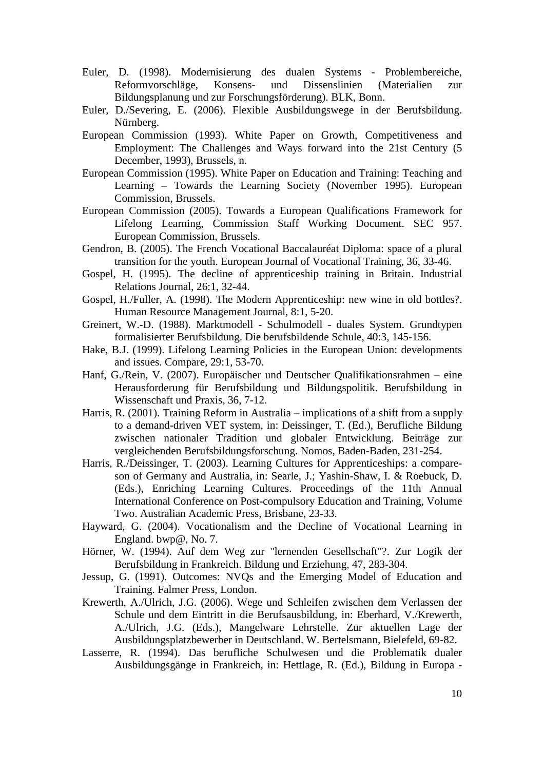- Euler, D. (1998). Modernisierung des dualen Systems Problembereiche, Reformvorschläge, Konsens- und Dissenslinien (Materialien zur Bildungsplanung und zur Forschungsförderung). BLK, Bonn.
- Euler, D./Severing, E. (2006). Flexible Ausbildungswege in der Berufsbildung. Nürnberg.
- European Commission (1993). White Paper on Growth, Competitiveness and Employment: The Challenges and Ways forward into the 21st Century (5 December, 1993), Brussels, n.
- European Commission (1995). White Paper on Education and Training: Teaching and Learning – Towards the Learning Society (November 1995). European Commission, Brussels.
- European Commission (2005). Towards a European Qualifications Framework for Lifelong Learning, Commission Staff Working Document. SEC 957. European Commission, Brussels.
- Gendron, B. (2005). The French Vocational Baccalauréat Diploma: space of a plural transition for the youth. European Journal of Vocational Training, 36, 33-46.
- Gospel, H. (1995). The decline of apprenticeship training in Britain. Industrial Relations Journal, 26:1, 32-44.
- Gospel, H./Fuller, A. (1998). The Modern Apprenticeship: new wine in old bottles?. Human Resource Management Journal, 8:1, 5-20.
- Greinert, W.-D. (1988). Marktmodell Schulmodell duales System. Grundtypen formalisierter Berufsbildung. Die berufsbildende Schule, 40:3, 145-156.
- Hake, B.J. (1999). Lifelong Learning Policies in the European Union: developments and issues. Compare, 29:1, 53-70.
- Hanf, G./Rein, V. (2007). Europäischer und Deutscher Qualifikationsrahmen eine Herausforderung für Berufsbildung und Bildungspolitik. Berufsbildung in Wissenschaft und Praxis, 36, 7-12.
- Harris, R. (2001). Training Reform in Australia implications of a shift from a supply to a demand-driven VET system, in: Deissinger, T. (Ed.), Berufliche Bildung zwischen nationaler Tradition und globaler Entwicklung. Beiträge zur vergleichenden Berufsbildungsforschung. Nomos, Baden-Baden, 231-254.
- Harris, R./Deissinger, T. (2003). Learning Cultures for Apprenticeships: a compareson of Germany and Australia, in: Searle, J.; Yashin-Shaw, I. & Roebuck, D. (Eds.), Enriching Learning Cultures. Proceedings of the 11th Annual International Conference on Post-compulsory Education and Training, Volume Two. Australian Academic Press, Brisbane, 23-33.
- Hayward, G. (2004). Vocationalism and the Decline of Vocational Learning in England. bwp@, No. 7.
- Hörner, W. (1994). Auf dem Weg zur "lernenden Gesellschaft"?. Zur Logik der Berufsbildung in Frankreich. Bildung und Erziehung, 47, 283-304.
- Jessup, G. (1991). Outcomes: NVQs and the Emerging Model of Education and Training. Falmer Press, London.
- Krewerth, A./Ulrich, J.G. (2006). Wege und Schleifen zwischen dem Verlassen der Schule und dem Eintritt in die Berufsausbildung, in: Eberhard, V./Krewerth, A./Ulrich, J.G. (Eds.), Mangelware Lehrstelle. Zur aktuellen Lage der Ausbildungsplatzbewerber in Deutschland. W. Bertelsmann, Bielefeld, 69-82.
- Lasserre, R. (1994). Das berufliche Schulwesen und die Problematik dualer Ausbildungsgänge in Frankreich, in: Hettlage, R. (Ed.), Bildung in Europa -